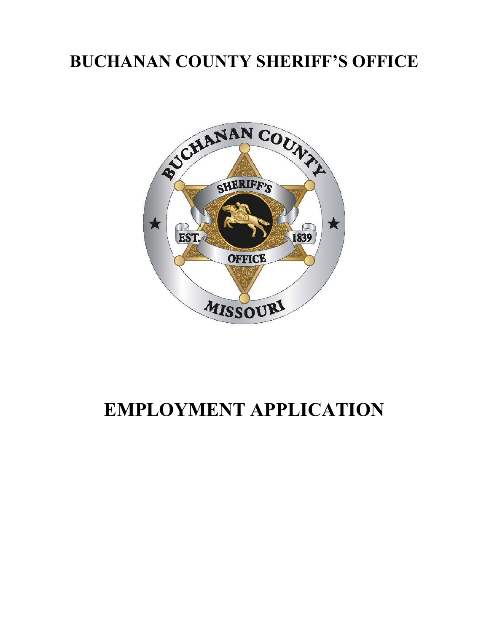## **BUCHANAN COUNTY SHERIFF'S OFFICE**



## **EMPLOYMENT APPLICATION**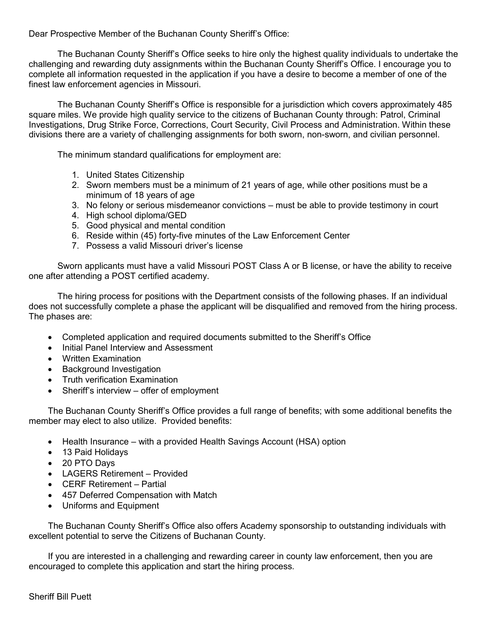Dear Prospective Member of the Buchanan County Sheriff's Office:

The Buchanan County Sheriff's Office seeks to hire only the highest quality individuals to undertake the challenging and rewarding duty assignments within the Buchanan County Sheriff's Office. I encourage you to complete all information requested in the application if you have a desire to become a member of one of the finest law enforcement agencies in Missouri.

The Buchanan County Sheriff's Office is responsible for a jurisdiction which covers approximately 485 square miles. We provide high quality service to the citizens of Buchanan County through: Patrol, Criminal Investigations, Drug Strike Force, Corrections, Court Security, Civil Process and Administration. Within these divisions there are a variety of challenging assignments for both sworn, non-sworn, and civilian personnel.

The minimum standard qualifications for employment are:

- 1. United States Citizenship
- 2. Sworn members must be a minimum of 21 years of age, while other positions must be a minimum of 18 years of age
- 3. No felony or serious misdemeanor convictions must be able to provide testimony in court
- 4. High school diploma/GED
- 5. Good physical and mental condition
- 6. Reside within (45) forty-five minutes of the Law Enforcement Center
- 7. Possess a valid Missouri driver's license

Sworn applicants must have a valid Missouri POST Class A or B license, or have the ability to receive one after attending a POST certified academy.

The hiring process for positions with the Department consists of the following phases. If an individual does not successfully complete a phase the applicant will be disqualified and removed from the hiring process. The phases are:

- Completed application and required documents submitted to the Sheriff's Office
- Initial Panel Interview and Assessment
- Written Examination
- Background Investigation
- Truth verification Examination
- Sheriff's interview offer of employment

The Buchanan County Sheriff's Office provides a full range of benefits; with some additional benefits the member may elect to also utilize. Provided benefits:

- Health Insurance with a provided Health Savings Account (HSA) option
- 13 Paid Holidays
- 20 PTO Days
- LAGERS Retirement Provided
- CERF Retirement Partial
- 457 Deferred Compensation with Match
- Uniforms and Equipment

The Buchanan County Sheriff's Office also offers Academy sponsorship to outstanding individuals with excellent potential to serve the Citizens of Buchanan County.

If you are interested in a challenging and rewarding career in county law enforcement, then you are encouraged to complete this application and start the hiring process.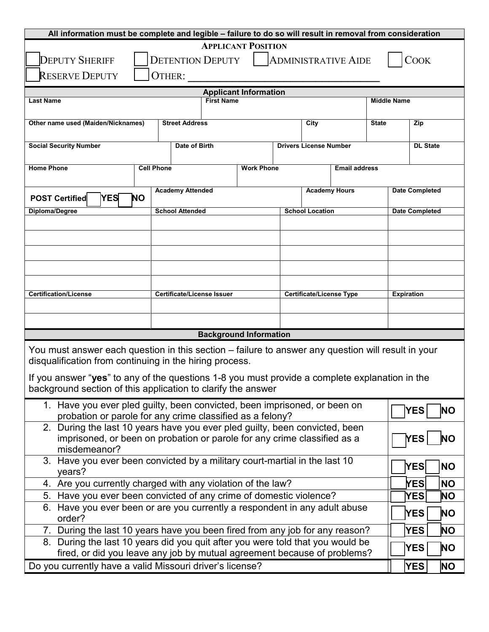| All information must be complete and legible - failure to do so will result in removal from consideration                                                                      |                   |                        |                              |                   |                               |                      |                    |                       |                 |  |
|--------------------------------------------------------------------------------------------------------------------------------------------------------------------------------|-------------------|------------------------|------------------------------|-------------------|-------------------------------|----------------------|--------------------|-----------------------|-----------------|--|
| <b>APPLICANT POSITION</b><br><b>DEPUTY SHERIFF</b><br><b>DETENTION DEPUTY</b><br><b>COOK</b><br><b>ADMINISTRATIVE AIDE</b><br><b>RESERVE DEPUTY</b><br>OTHER:                  |                   |                        |                              |                   |                               |                      |                    |                       |                 |  |
|                                                                                                                                                                                |                   |                        | <b>Applicant Information</b> |                   |                               |                      |                    |                       |                 |  |
| <b>Last Name</b>                                                                                                                                                               |                   | <b>First Name</b>      |                              |                   |                               |                      | <b>Middle Name</b> |                       |                 |  |
| Other name used (Maiden/Nicknames)<br><b>Street Address</b><br>City<br><b>State</b>                                                                                            |                   |                        |                              |                   |                               | Zip                  |                    |                       |                 |  |
| <b>Social Security Number</b>                                                                                                                                                  |                   | Date of Birth          |                              |                   | <b>Drivers License Number</b> |                      |                    |                       | <b>DL State</b> |  |
|                                                                                                                                                                                |                   |                        |                              |                   |                               |                      |                    |                       |                 |  |
| <b>Home Phone</b>                                                                                                                                                              | <b>Cell Phone</b> |                        | <b>Work Phone</b>            |                   |                               | <b>Email address</b> |                    |                       |                 |  |
| <b>Academy Attended</b><br><b>Academy Hours</b>                                                                                                                                |                   |                        |                              |                   |                               |                      |                    |                       |                 |  |
| <b>POST Certified</b><br><b>YES</b>                                                                                                                                            | <b>NO</b>         |                        |                              |                   |                               |                      |                    | <b>Date Completed</b> |                 |  |
| Diploma/Degree                                                                                                                                                                 |                   | <b>School Attended</b> |                              |                   | <b>School Location</b>        |                      |                    | <b>Date Completed</b> |                 |  |
|                                                                                                                                                                                |                   |                        |                              |                   |                               |                      |                    |                       |                 |  |
|                                                                                                                                                                                |                   |                        |                              |                   |                               |                      |                    |                       |                 |  |
|                                                                                                                                                                                |                   |                        |                              |                   |                               |                      |                    |                       |                 |  |
|                                                                                                                                                                                |                   |                        |                              |                   |                               |                      |                    |                       |                 |  |
|                                                                                                                                                                                |                   |                        |                              |                   |                               |                      |                    |                       |                 |  |
| <b>Certification/License</b><br><b>Certificate/License Issuer</b><br><b>Certificate/License Type</b>                                                                           |                   |                        |                              | <b>Expiration</b> |                               |                      |                    |                       |                 |  |
|                                                                                                                                                                                |                   |                        |                              |                   |                               |                      |                    |                       |                 |  |
|                                                                                                                                                                                |                   |                        |                              |                   |                               |                      |                    |                       |                 |  |
| <b>Background Information</b>                                                                                                                                                  |                   |                        |                              |                   |                               |                      |                    |                       |                 |  |
| You must answer each question in this section - failure to answer any question will result in your                                                                             |                   |                        |                              |                   |                               |                      |                    |                       |                 |  |
| disqualification from continuing in the hiring process.                                                                                                                        |                   |                        |                              |                   |                               |                      |                    |                       |                 |  |
| If you answer "yes" to any of the questions 1-8 you must provide a complete explanation in the                                                                                 |                   |                        |                              |                   |                               |                      |                    |                       |                 |  |
| background section of this application to clarify the answer                                                                                                                   |                   |                        |                              |                   |                               |                      |                    |                       |                 |  |
| 1. Have you ever pled guilty, been convicted, been imprisoned, or been on                                                                                                      |                   |                        |                              |                   |                               |                      | <b>YES</b>         | <b>NO</b>             |                 |  |
| probation or parole for any crime classified as a felony?<br>During the last 10 years have you ever pled guilty, been convicted, been<br>2.                                    |                   |                        |                              |                   |                               |                      |                    |                       |                 |  |
| imprisoned, or been on probation or parole for any crime classified as a<br>YES                                                                                                |                   |                        |                              |                   |                               | <b>NO</b>            |                    |                       |                 |  |
| misdemeanor?                                                                                                                                                                   |                   |                        |                              |                   |                               |                      |                    |                       |                 |  |
| 3. Have you ever been convicted by a military court-martial in the last 10                                                                                                     |                   |                        |                              |                   |                               |                      |                    | YES                   | <b>NO</b>       |  |
| years?                                                                                                                                                                         |                   |                        |                              |                   |                               |                      | <b>YES</b>         | <b>NO</b>             |                 |  |
| 4. Are you currently charged with any violation of the law?<br>Have you ever been convicted of any crime of domestic violence?<br>5.                                           |                   |                        |                              |                   |                               |                      |                    |                       | ΝO              |  |
| <b>YES</b><br>6. Have you ever been or are you currently a respondent in any adult abuse                                                                                       |                   |                        |                              |                   |                               |                      |                    |                       |                 |  |
| YES<br><b>NO</b><br>order?                                                                                                                                                     |                   |                        |                              |                   |                               |                      |                    |                       |                 |  |
| <b>YES</b><br>7. During the last 10 years have you been fired from any job for any reason?                                                                                     |                   |                        |                              |                   |                               | ΝO                   |                    |                       |                 |  |
| 8. During the last 10 years did you quit after you were told that you would be<br><b>YES</b><br>ΝO<br>fired, or did you leave any job by mutual agreement because of problems? |                   |                        |                              |                   |                               |                      |                    |                       |                 |  |
| Do you currently have a valid Missouri driver's license?<br><b>YES</b><br>ΝO                                                                                                   |                   |                        |                              |                   |                               |                      |                    |                       |                 |  |
|                                                                                                                                                                                |                   |                        |                              |                   |                               |                      |                    |                       |                 |  |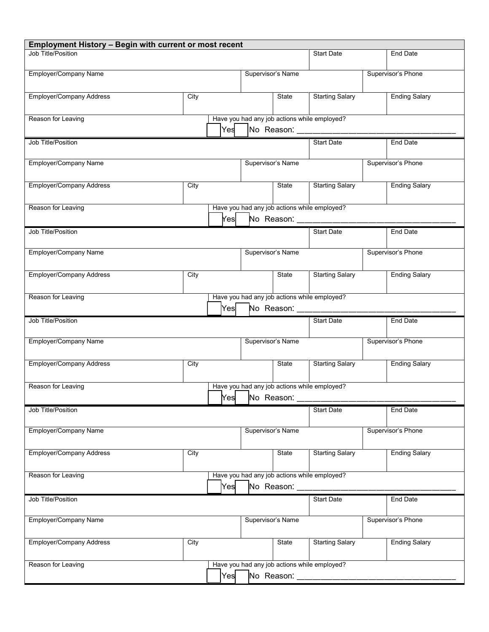| <b>Employment History - Begin with current or most recent</b> |      |                |                   |                        |                                                                                 |                      |                      |  |
|---------------------------------------------------------------|------|----------------|-------------------|------------------------|---------------------------------------------------------------------------------|----------------------|----------------------|--|
| Job Title/Position                                            |      |                |                   | <b>Start Date</b>      |                                                                                 |                      | End Date             |  |
| Employer/Company Name                                         |      |                | Supervisor's Name |                        |                                                                                 |                      | Supervisor's Phone   |  |
| <b>Employer/Company Address</b><br>City                       |      |                | State             | <b>Starting Salary</b> |                                                                                 | <b>Ending Salary</b> |                      |  |
| Reason for Leaving                                            |      |                |                   |                        | Have you had any job actions while employed?                                    |                      |                      |  |
|                                                               |      | Yes            |                   |                        | No Reason: ____________________                                                 |                      |                      |  |
| Job Title/Position                                            |      |                |                   |                        | <b>Start Date</b>                                                               |                      | End Date             |  |
| Employer/Company Name                                         |      |                |                   | Supervisor's Name      |                                                                                 |                      | Supervisor's Phone   |  |
| <b>Employer/Company Address</b>                               | City |                |                   | State                  | <b>Starting Salary</b>                                                          |                      | <b>Ending Salary</b> |  |
| Reason for Leaving                                            |      | $\mathsf{Yes}$ |                   |                        | Have you had any job actions while employed?<br>No Reason: __________________   |                      |                      |  |
| Job Title/Position                                            |      |                |                   |                        | <b>Start Date</b>                                                               |                      | End Date             |  |
| Employer/Company Name                                         |      |                |                   | Supervisor's Name      |                                                                                 |                      | Supervisor's Phone   |  |
| <b>Employer/Company Address</b>                               | City |                |                   | State                  | <b>Starting Salary</b>                                                          |                      | <b>Ending Salary</b> |  |
| Reason for Leaving                                            |      | Yes            |                   |                        | Have you had any job actions while employed?<br>No Reason: ___________________  |                      |                      |  |
| Job Title/Position                                            |      |                |                   |                        | <b>Start Date</b>                                                               |                      | End Date             |  |
|                                                               |      |                |                   |                        |                                                                                 |                      |                      |  |
| Employer/Company Name                                         |      |                | Supervisor's Name |                        |                                                                                 |                      | Supervisor's Phone   |  |
| <b>Employer/Company Address</b>                               | City |                |                   | State                  | <b>Starting Salary</b>                                                          |                      | <b>Ending Salary</b> |  |
| Reason for Leaving                                            |      |                |                   |                        | Have you had any job actions while employed?                                    |                      |                      |  |
|                                                               |      |                |                   |                        |                                                                                 |                      |                      |  |
| Job Title/Position                                            |      |                |                   |                        | <b>Start Date</b>                                                               |                      | End Date             |  |
| Employer/Company Name                                         |      |                | Supervisor's Name |                        |                                                                                 |                      | Supervisor's Phone   |  |
| <b>Employer/Company Address</b>                               | City |                |                   | State                  | <b>Starting Salary</b>                                                          |                      | <b>Ending Salary</b> |  |
| Reason for Leaving                                            |      | Yes            |                   | No Reason: ______      | Have you had any job actions while employed?                                    |                      |                      |  |
| Job Title/Position                                            |      |                |                   |                        | <b>Start Date</b>                                                               |                      | End Date             |  |
|                                                               |      |                |                   |                        |                                                                                 |                      |                      |  |
| Employer/Company Name                                         |      |                | Supervisor's Name |                        |                                                                                 |                      | Supervisor's Phone   |  |
| <b>Employer/Company Address</b>                               | City |                |                   | State                  | <b>Starting Salary</b>                                                          |                      | <b>Ending Salary</b> |  |
| Reason for Leaving                                            |      | Yes            |                   |                        | Have you had any job actions while employed?<br>No Reason: ____________________ |                      |                      |  |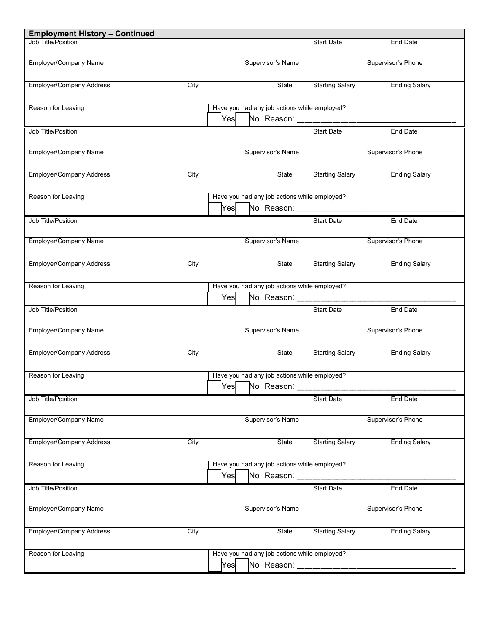| <b>Employment History - Continued</b> |      |     |                   |                      |                                              |                      |
|---------------------------------------|------|-----|-------------------|----------------------|----------------------------------------------|----------------------|
| Job Title/Position                    |      |     |                   |                      | <b>Start Date</b>                            | End Date             |
| Employer/Company Name                 |      |     | Supervisor's Name |                      |                                              | Supervisor's Phone   |
| <b>Employer/Company Address</b>       | City |     |                   | State                | <b>Starting Salary</b>                       | <b>Ending Salary</b> |
| Reason for Leaving                    |      | Yes |                   |                      | Have you had any job actions while employed? |                      |
|                                       |      |     |                   |                      | No Reason: ____________                      |                      |
| Job Title/Position                    |      |     |                   |                      | <b>Start Date</b>                            | <b>End Date</b>      |
| Employer/Company Name                 |      |     | Supervisor's Name |                      |                                              | Supervisor's Phone   |
| <b>Employer/Company Address</b>       | City |     |                   | State                | <b>Starting Salary</b>                       | <b>Ending Salary</b> |
| Reason for Leaving                    |      | Yes |                   | No Reason: _________ | Have you had any job actions while employed? |                      |
| Job Title/Position                    |      |     |                   |                      | <b>Start Date</b>                            | End Date             |
|                                       |      |     |                   |                      |                                              |                      |
| Employer/Company Name                 |      |     | Supervisor's Name |                      |                                              | Supervisor's Phone   |
| <b>Employer/Company Address</b>       | City |     |                   | State                | <b>Starting Salary</b>                       | <b>Ending Salary</b> |
| Reason for Leaving                    |      |     |                   |                      | Have you had any job actions while employed? |                      |
|                                       |      | Yes |                   |                      | No Reason: __________________                |                      |
|                                       |      |     |                   |                      |                                              |                      |
|                                       |      |     |                   |                      |                                              |                      |
| Job Title/Position                    |      |     |                   |                      | <b>Start Date</b>                            | End Date             |
| Employer/Company Name                 |      |     | Supervisor's Name |                      |                                              | Supervisor's Phone   |
| <b>Employer/Company Address</b>       | City |     |                   | State                | <b>Starting Salary</b>                       | <b>Ending Salary</b> |
| Reason for Leaving                    |      |     |                   |                      | Have you had any job actions while employed? |                      |
|                                       |      |     | Yes No Reason:    |                      |                                              |                      |
| Job Title/Position                    |      |     |                   |                      | <b>Start Date</b>                            | <b>End Date</b>      |
|                                       |      |     |                   |                      |                                              |                      |
| Employer/Company Name                 |      |     | Supervisor's Name |                      |                                              | Supervisor's Phone   |
| <b>Employer/Company Address</b>       | City |     |                   | State                | <b>Starting Salary</b>                       | <b>Ending Salary</b> |
|                                       |      |     |                   |                      |                                              |                      |
| Reason for Leaving                    |      | Yes |                   |                      | Have you had any job actions while employed? |                      |
| Job Title/Position                    |      |     |                   | No Reason: _________ | <b>Start Date</b>                            | End Date             |
| Employer/Company Name                 |      |     | Supervisor's Name |                      |                                              | Supervisor's Phone   |
|                                       |      |     |                   |                      |                                              |                      |
| <b>Employer/Company Address</b>       | City |     |                   | State                | <b>Starting Salary</b>                       | <b>Ending Salary</b> |
| Reason for Leaving                    |      |     |                   |                      | Have you had any job actions while employed? |                      |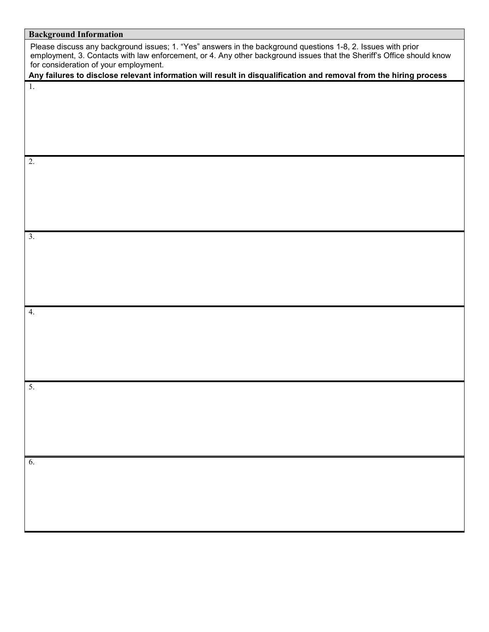| <b>Background Information</b>                                                                                                                                                                                                                                                  |
|--------------------------------------------------------------------------------------------------------------------------------------------------------------------------------------------------------------------------------------------------------------------------------|
| Please discuss any background issues; 1. "Yes" answers in the background questions 1-8, 2. Issues with prior<br>employment, 3. Contacts with law enforcement, or 4. Any other background issues that the Sheriff's Office should know<br>for consideration of your employment. |
| Any failures to disclose relevant information will result in disqualification and removal from the hiring process                                                                                                                                                              |
| 1.                                                                                                                                                                                                                                                                             |
|                                                                                                                                                                                                                                                                                |
|                                                                                                                                                                                                                                                                                |
|                                                                                                                                                                                                                                                                                |
|                                                                                                                                                                                                                                                                                |
|                                                                                                                                                                                                                                                                                |
| 2.                                                                                                                                                                                                                                                                             |
|                                                                                                                                                                                                                                                                                |
|                                                                                                                                                                                                                                                                                |
|                                                                                                                                                                                                                                                                                |
|                                                                                                                                                                                                                                                                                |
|                                                                                                                                                                                                                                                                                |
| 3.                                                                                                                                                                                                                                                                             |
|                                                                                                                                                                                                                                                                                |
|                                                                                                                                                                                                                                                                                |
|                                                                                                                                                                                                                                                                                |
|                                                                                                                                                                                                                                                                                |
|                                                                                                                                                                                                                                                                                |
|                                                                                                                                                                                                                                                                                |
| 4.                                                                                                                                                                                                                                                                             |
|                                                                                                                                                                                                                                                                                |
|                                                                                                                                                                                                                                                                                |
|                                                                                                                                                                                                                                                                                |
|                                                                                                                                                                                                                                                                                |
|                                                                                                                                                                                                                                                                                |
| 5.                                                                                                                                                                                                                                                                             |
|                                                                                                                                                                                                                                                                                |
|                                                                                                                                                                                                                                                                                |
|                                                                                                                                                                                                                                                                                |
|                                                                                                                                                                                                                                                                                |
|                                                                                                                                                                                                                                                                                |
| $\overline{6}$ .                                                                                                                                                                                                                                                               |
|                                                                                                                                                                                                                                                                                |
|                                                                                                                                                                                                                                                                                |
|                                                                                                                                                                                                                                                                                |
|                                                                                                                                                                                                                                                                                |
|                                                                                                                                                                                                                                                                                |
|                                                                                                                                                                                                                                                                                |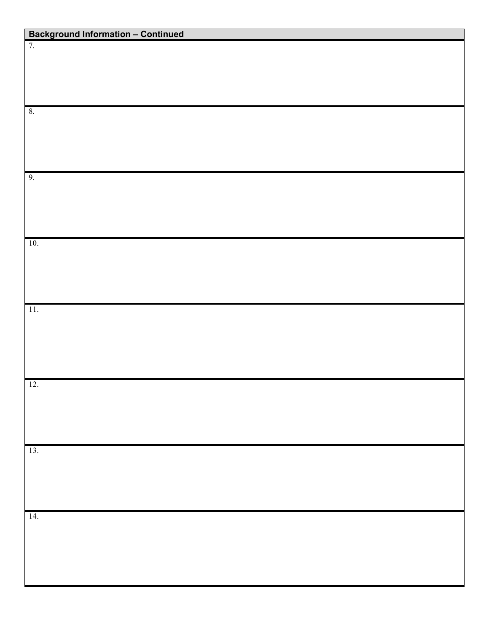| <b>Background Information - Continued</b> |  |
|-------------------------------------------|--|
| 7.                                        |  |
|                                           |  |
|                                           |  |
|                                           |  |
|                                           |  |
| $\boldsymbol{8}.$                         |  |
|                                           |  |
|                                           |  |
|                                           |  |
|                                           |  |
| 9.                                        |  |
|                                           |  |
|                                           |  |
|                                           |  |
|                                           |  |
| $10.$                                     |  |
|                                           |  |
|                                           |  |
|                                           |  |
|                                           |  |
| 11.                                       |  |
|                                           |  |
|                                           |  |
|                                           |  |
|                                           |  |
|                                           |  |
| 12.                                       |  |
|                                           |  |
|                                           |  |
|                                           |  |
|                                           |  |
| 13.                                       |  |
|                                           |  |
|                                           |  |
|                                           |  |
|                                           |  |
| 14.                                       |  |
|                                           |  |
|                                           |  |
|                                           |  |
|                                           |  |
|                                           |  |